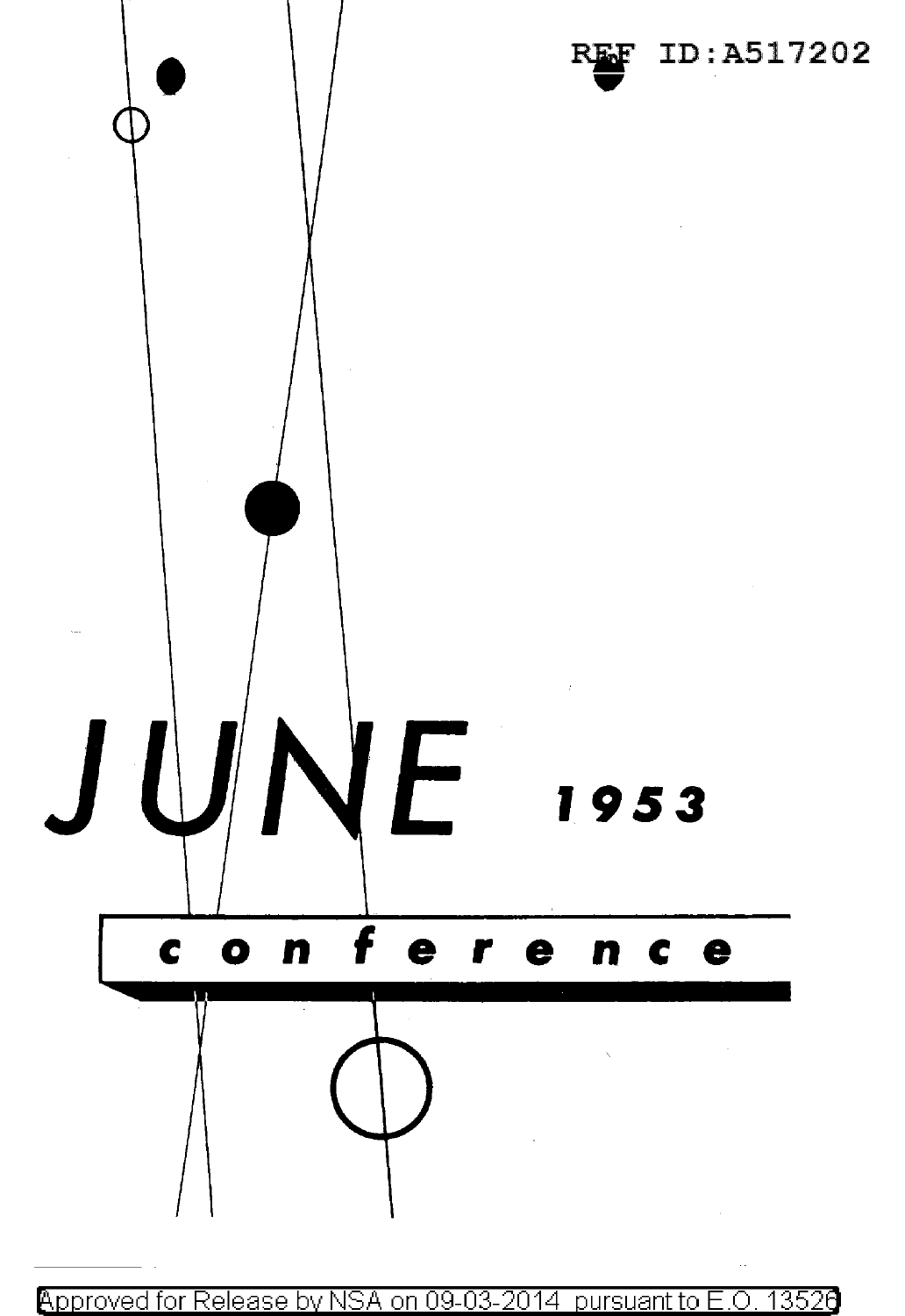

Approved for Release by NSA on 09-03-2014 pursuant to E.O. 13526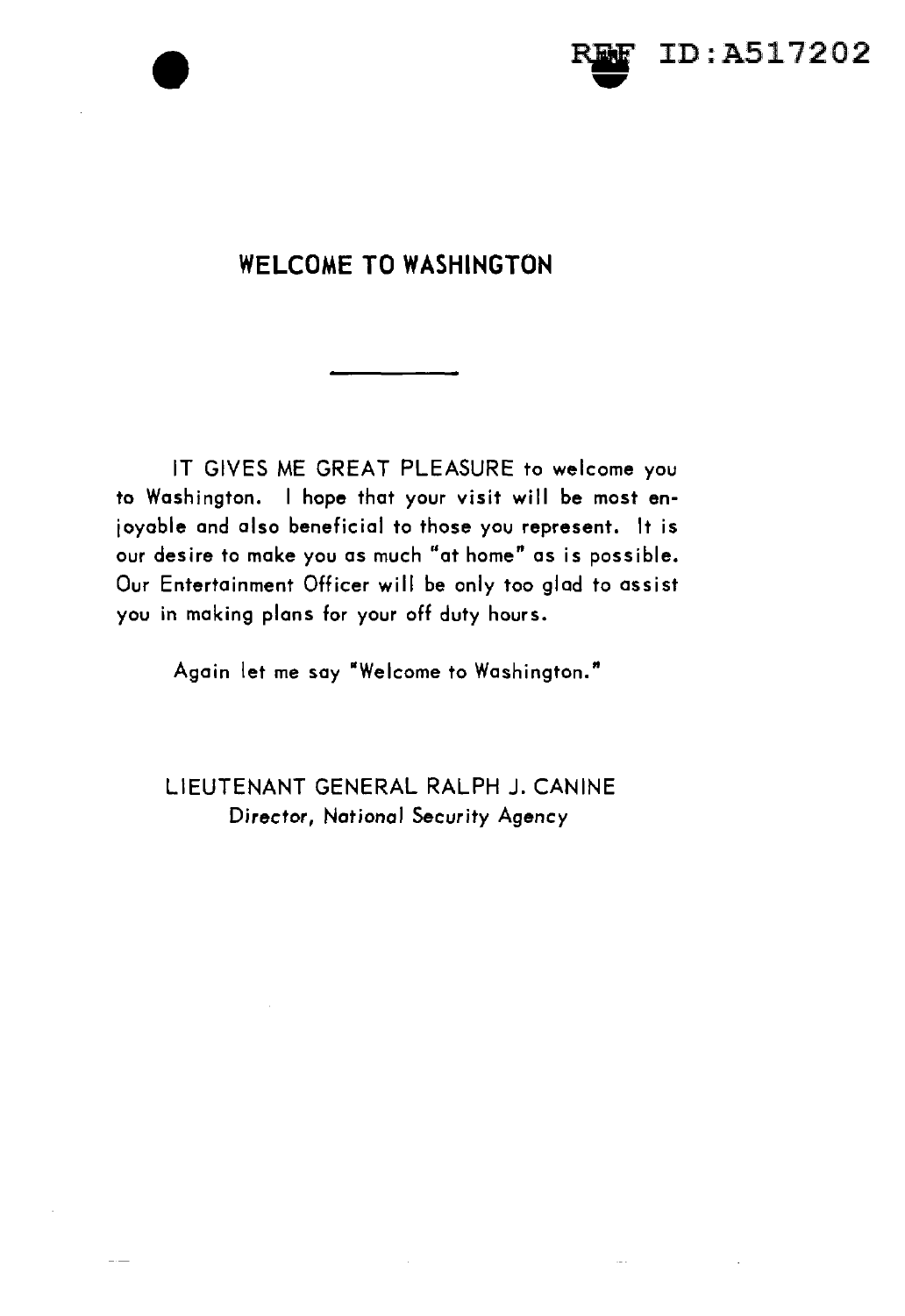



### **WELCOME TO WASHINGTON**

IT GIVES ME GREAT PLEASURE to welcome you to Washington. I hope that your visit will be most enjoyable and also beneficial to those you represent. It is our desire to make you as much "at home" as is possible. Our Entertainment Officer will be only too glad to assist you in making plans for your off duty hours.

Again let me say "Welcome to Washington."

LIEUTENANT GENERAL RALPH J. CANINE Director, National Security Agency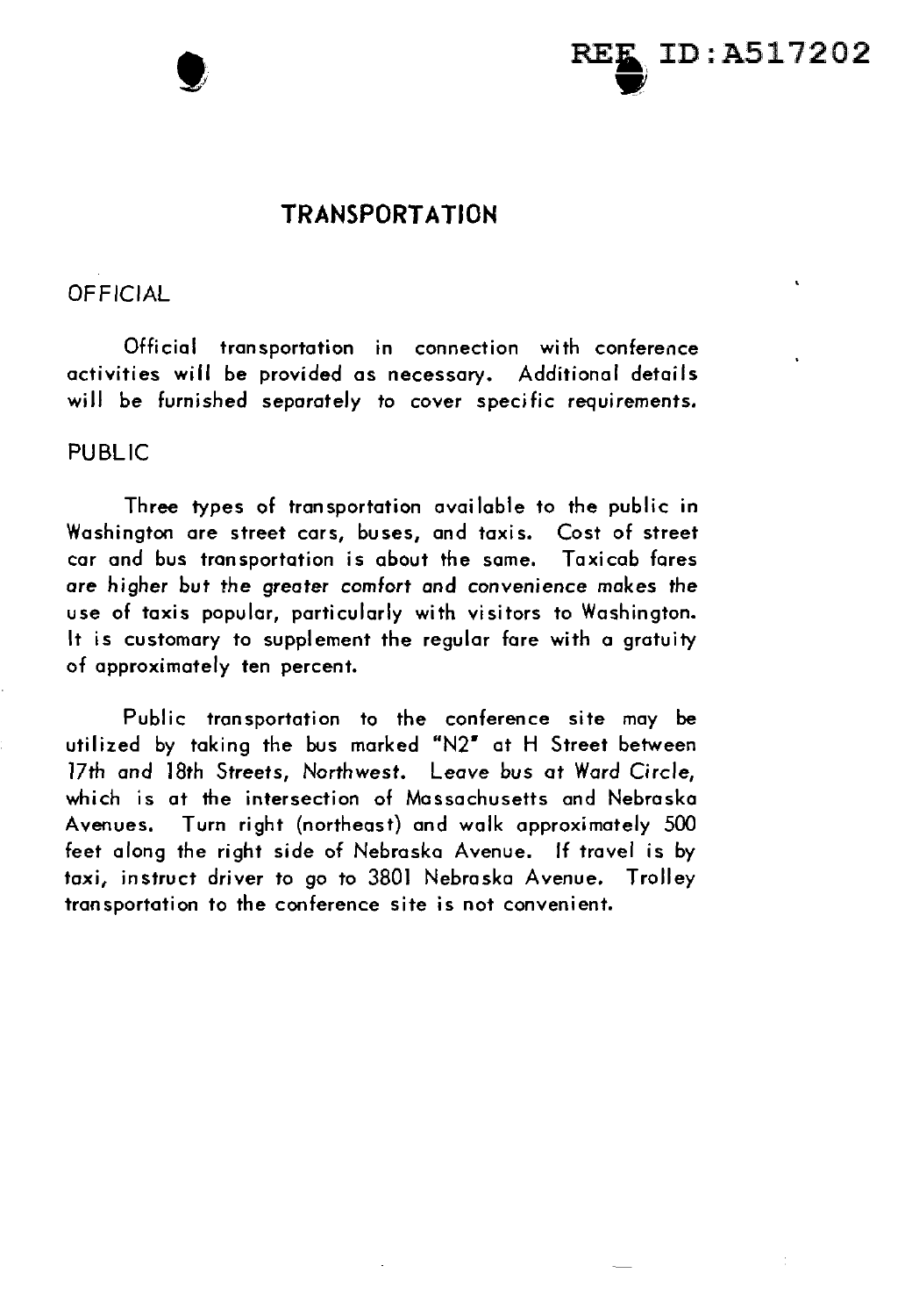



### **TRANSPORTATION**

### **OFFICIAL**

Official transportation in connection with conference activities will be provided as necessary. Additional details will be furnished separately to cover specific requirements.

### PUBLIC

Three types of transportation available to the public in Washington are street cars, buses, and taxis. Cost of street car and bus transportation is about the same. Taxicab fares are higher but the greater comfort and convenience makes the use of taxis popular, particularly with visitors to Washington. It is customary to supplement the regular fare with a gratuity of approximately ten percent.

Public transportation to the conference site may be utilized by taking the bus marked "N2" at H Street between 17th and 18th Streets, Northwest. Leave bus at Ward Circle, which is at the intersection of Massachusetts and Nebraska Avenues. Turn right (northeast) and walk approximately 500 feet along the right side of Nebraska Avenue. If travel is by taxi, instruct driver to go to 3801 Nebraska Avenue. Trolley transportation to the conference site is not convenient.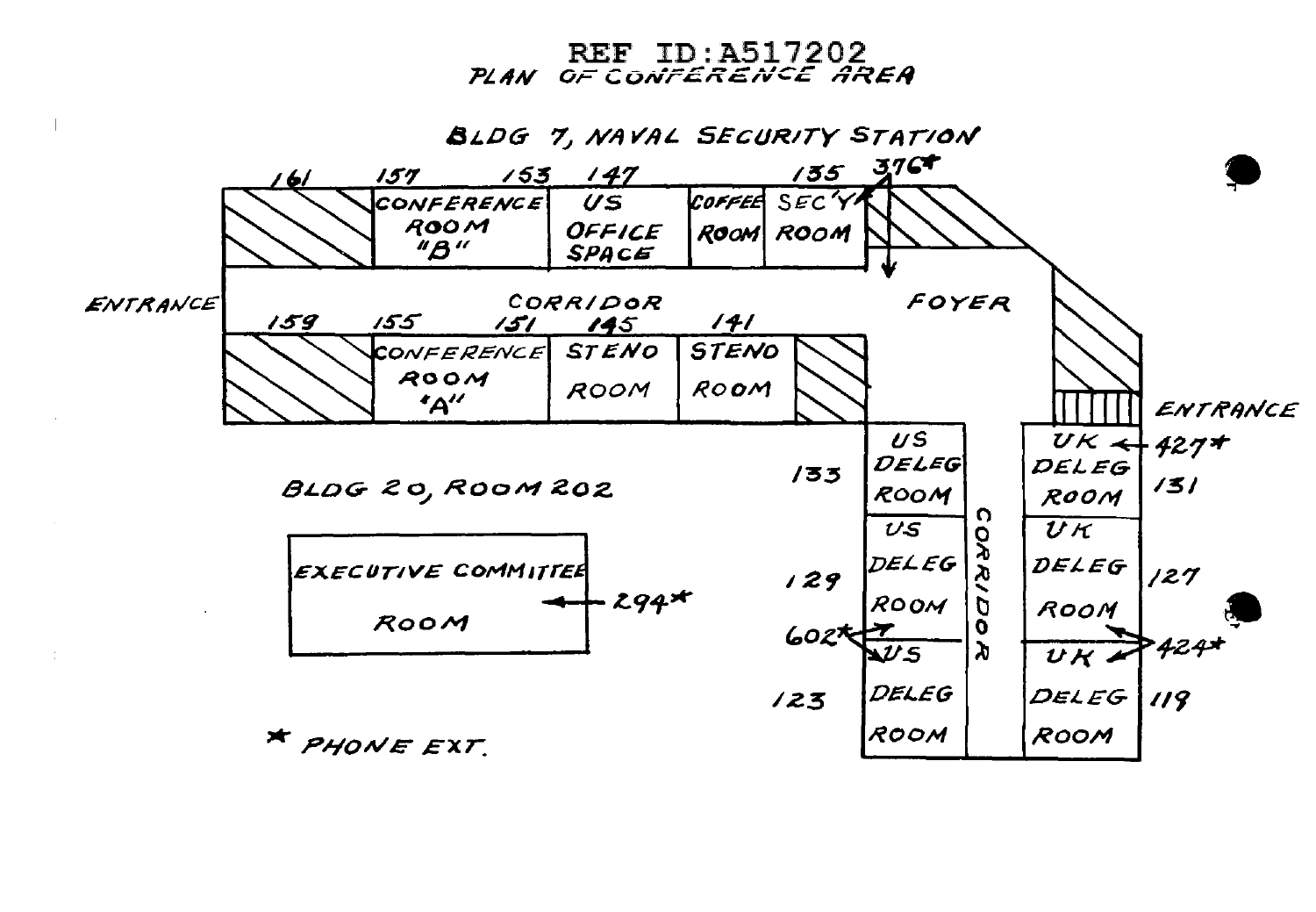**REF ID: A517202** PLAN OF CONTERENCE AREA

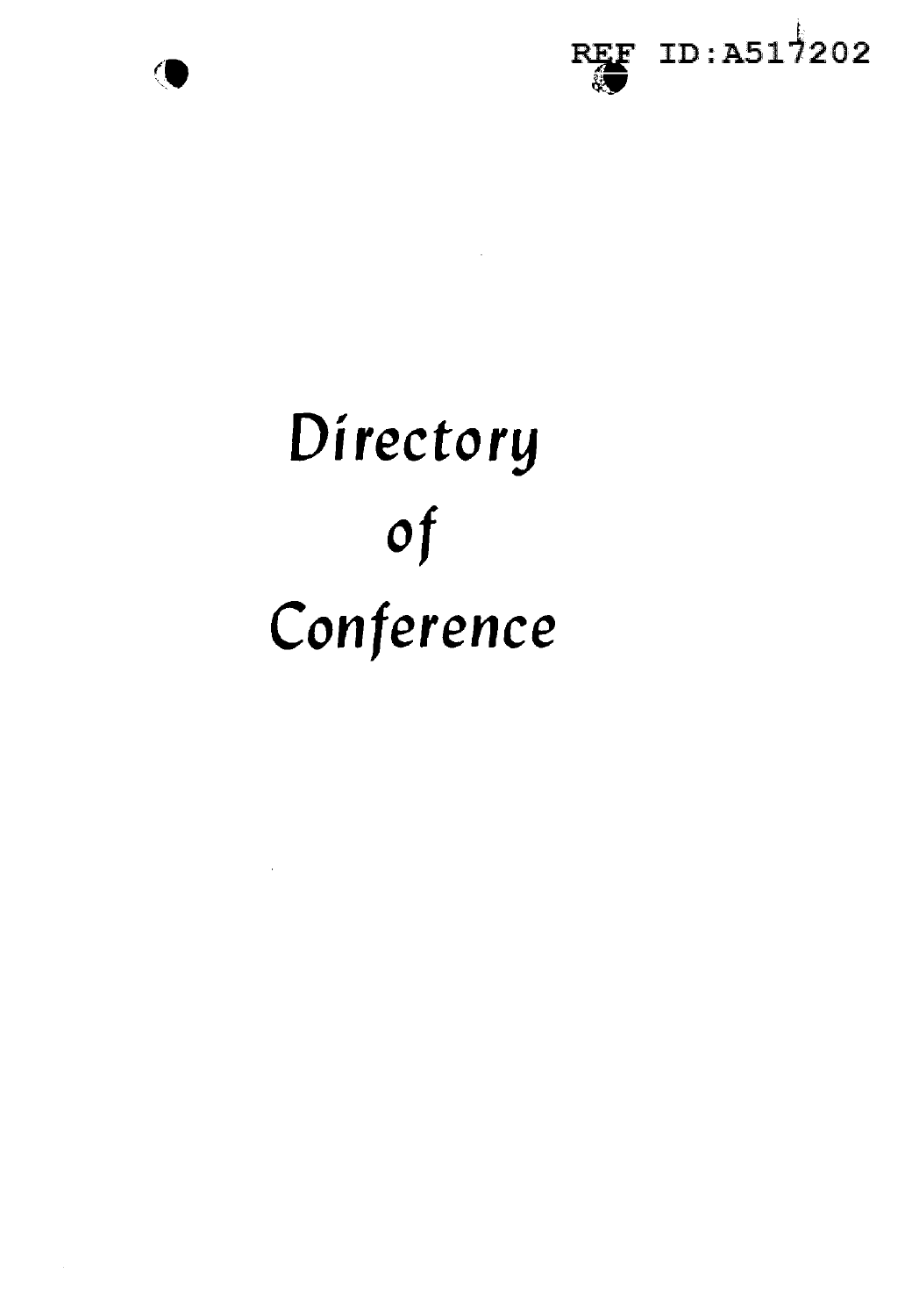

 $\mathcal{L}^{\text{max}}_{\text{max}}$  and  $\mathcal{L}^{\text{max}}_{\text{max}}$ 



# Directory  $of$ Conference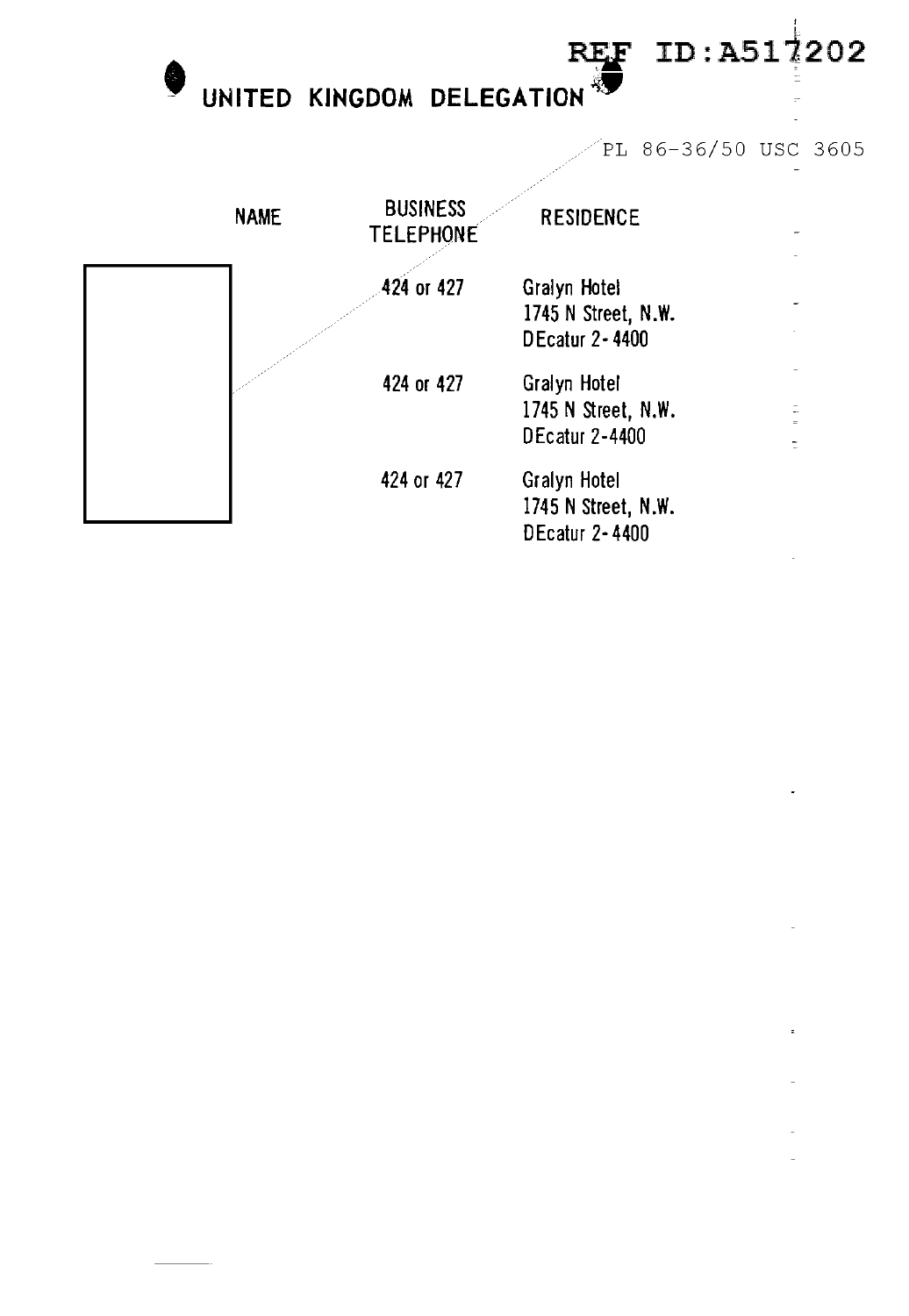UNITED KINGDOM DELEGATION

PL 86-36/50 USC 3605

**REF** 

ID:A517202

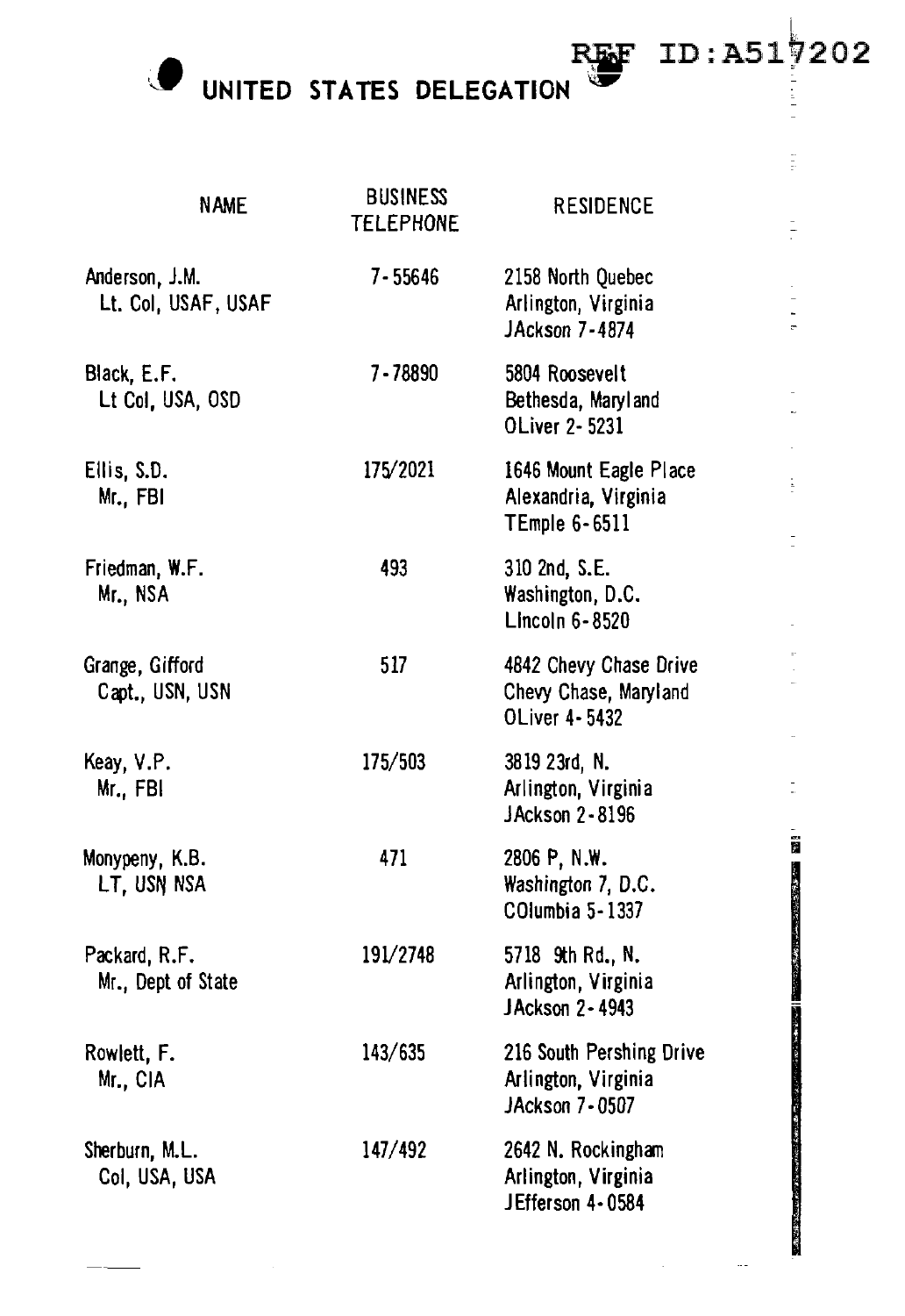**O** UNITED STATES DELEGATION

| <b>NAME</b>                           | <b>BUSINESS</b><br><b>TELEPHONE</b> | <b>RESIDENCE</b>                                                        | $\frac{1}{\pi}$                                               |
|---------------------------------------|-------------------------------------|-------------------------------------------------------------------------|---------------------------------------------------------------|
| Anderson, J.M.<br>Lt. Col, USAF, USAF | 7-55646                             | 2158 North Quebec<br>Arlington, Virginia<br>JAckson 7-4874              |                                                               |
| Black, E.F.<br>Lt Col, USA, OSD       | 7-78890                             | 5804 Roosevelt<br>Bethesda, Maryland<br>OLiver 2-5231                   |                                                               |
| Ellis, S.D.<br>Mr., FBI               | 175/2021                            | 1646 Mount Eagle Place<br>Alexandria, Virginia<br><b>TEmple 6-6511</b>  | $\frac{1}{2}$                                                 |
| Friedman, W.F.<br>Mr., NSA            | 493                                 | 310 2nd, S.E.<br>Washington, D.C.<br>Lincoln 6-8520                     |                                                               |
| Grange, Gifford<br>Capt., USN, USN    | 517                                 | 4842 Chevy Chase Drive<br>Chevy Chase, Maryland<br><b>OLiver 4-5432</b> |                                                               |
| Keay, V.P.<br>Mr., FBI                | 175/503                             | 3819 23rd, N.<br>Arlington, Virginia<br>JAckson 2-8196                  |                                                               |
| Monypeny, K.B.<br>LT, USN NSA         | 471                                 | 2806 P, N.W.<br>Washington 7, D.C.<br>COlumbia 5-1337                   | İ                                                             |
| Packard, R.F.<br>Mr., Dept of State   | 191/2748                            | 5718 9th Rd., N.<br>Arlington, Virginia<br>JAckson 2-4943               |                                                               |
| Rowlett, F.<br>Mr., CIA               | 143/635                             | 216 South Pershing Drive<br>Arlington, Virginia<br>JAckson 7-0507       | 1、「大家の人気の人気のある」                                               |
| Sherburn, M.L.<br>Col, USA, USA       | 147/492                             | 2642 N. Rockingham<br>Arlington, Virginia<br>JEfferson 4-0584           | <b>Property in the company's in the season of a mix state</b> |

REF ID:A517202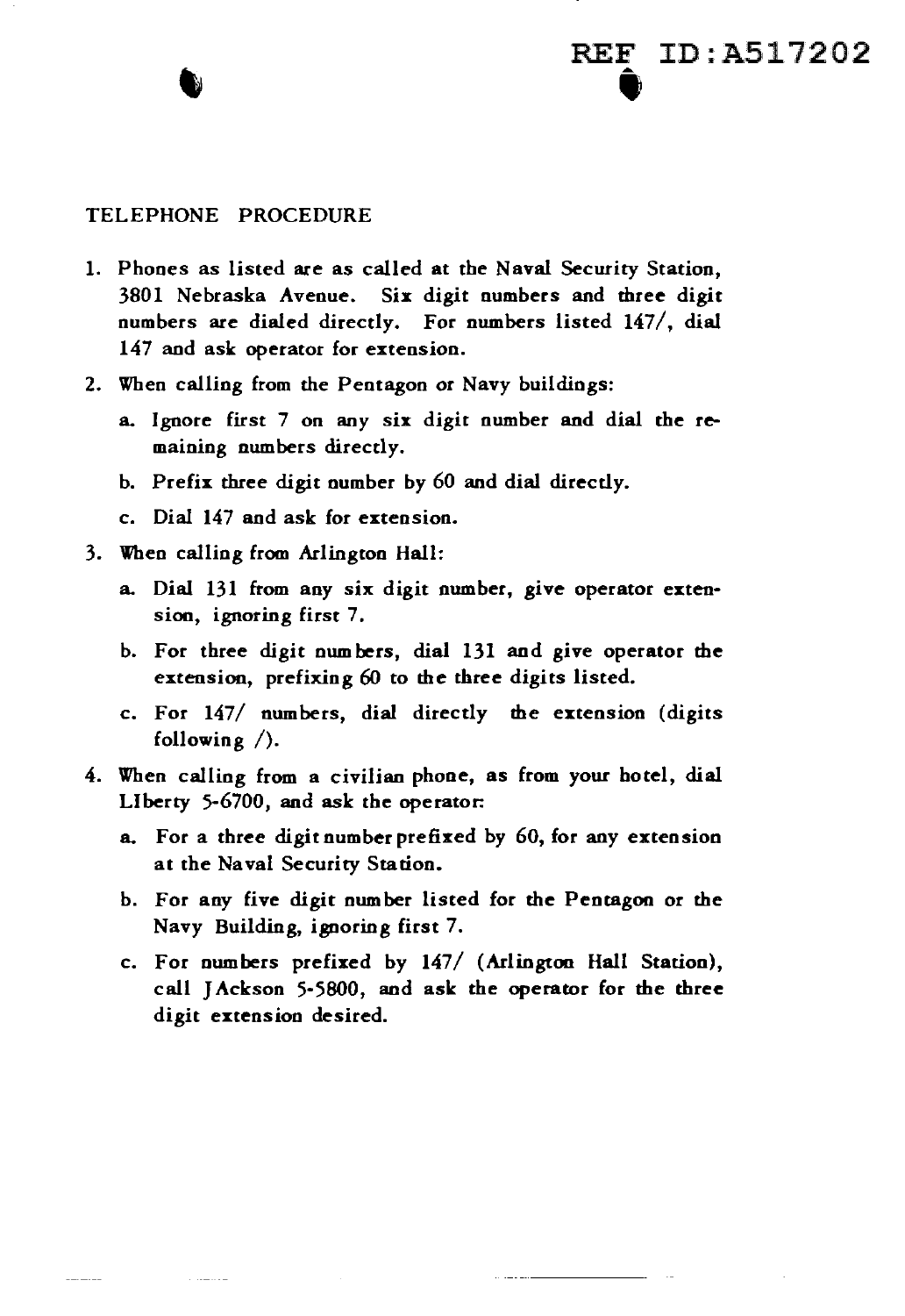#### TELEPHONE PROCEDURE

1. Phones as listed are as called at the Naval Security Station, 3801 Nebraska Avenue. Six digit numbers and three digit numbers are dialed directly. For numbers listed 147/, dial 147 and ask operator for extension.

REF ID:A517202

- 2. When calling from the Pentagon or Navy buildings:
	- a. Ignore first 7 on any six digit number and dial the remaining numbers directly.
	- b. Prefix three digit number by 60 and dial directly.
	- c. Dial 147 and ask for extension.
- 3. When calling from Arlington Hall:

**Common** 

- a. Dial 131 from any six digit number, give operator extension, ignoring first 7.
- b. For three digit own hers, dial 131 and give operator the extension, prefixing 60 to the three digits listed.
- c. For 147/ numbers, dial directly the extension (digits following /).
- 4. When calling from a civilian phone, as from your hotel, dial Liberty 5-6700, and ask the operator:
	- a. For a three digit number prefixed by 60, for any extension at the Naval Security Station.
	- b. For any five digit nwnber listed for the Pentagon or the Navy Building, ignoring first 7.
	- c. For numbers prefixed by 147/ (Arlington Hall Station), call J Ackson 5-5800, and ask the operator for the three digit extension desired.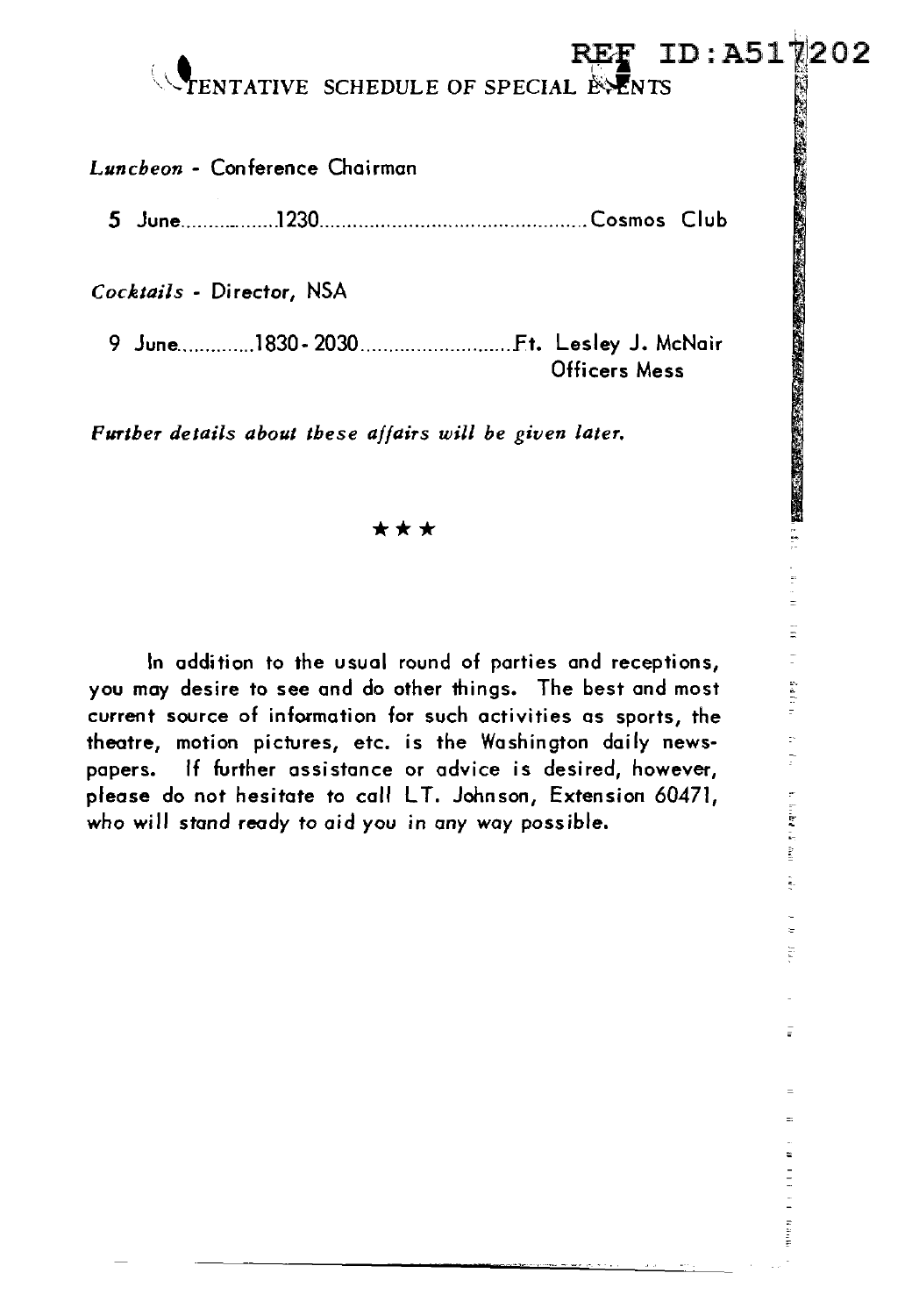## REF ID:A51\\202

*Luncheon* - Conference Chairman

5 June ......... -- ...... .1230 ................................................ Cosmos Club

*Cocktails* - Director, NSA

i,,\.\_\ENT ATIVE SCHEDULE OF SPECIAL '£<..~NTS *:*  9 June .............. 1830- 2030 ........................... Ft. Lesley J. McNair Officers Mess

*Further details about these affairs will be given later.* 

### \*\*\*

In addition to the usual round of parties and receptions, you may desire to see and do other things. The best and most current source of information for such activities as sports, the theatre, motion pictures, etc. is the Washington daily newspapers. If further assistance or advice is desired, however, please do not hesitate to call LT. Johnson, Extension 60471, please do not hesitate to call LT. Johnson, Extension 60471,<br>who will stand ready to aid you in any way possible.<br>.

なました トラ à. Ť

Ξ